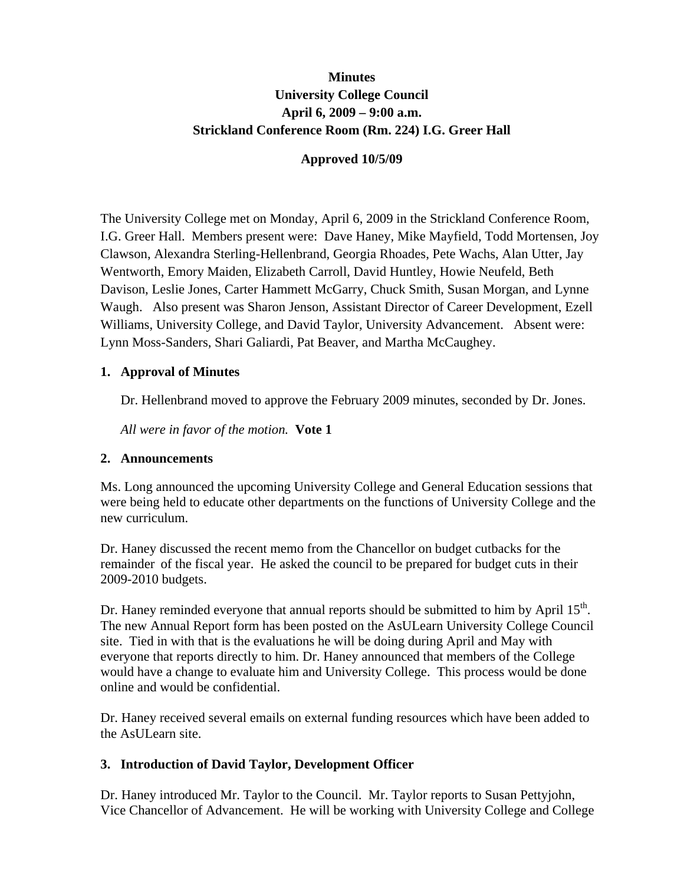# **Minutes University College Council April 6, 2009 – 9:00 a.m. Strickland Conference Room (Rm. 224) I.G. Greer Hall**

### **Approved 10/5/09**

The University College met on Monday, April 6, 2009 in the Strickland Conference Room, I.G. Greer Hall. Members present were: Dave Haney, Mike Mayfield, Todd Mortensen, Joy Clawson, Alexandra Sterling-Hellenbrand, Georgia Rhoades, Pete Wachs, Alan Utter, Jay Wentworth, Emory Maiden, Elizabeth Carroll, David Huntley, Howie Neufeld, Beth Davison, Leslie Jones, Carter Hammett McGarry, Chuck Smith, Susan Morgan, and Lynne Waugh. Also present was Sharon Jenson, Assistant Director of Career Development, Ezell Williams, University College, and David Taylor, University Advancement. Absent were: Lynn Moss-Sanders, Shari Galiardi, Pat Beaver, and Martha McCaughey.

### **1. Approval of Minutes**

Dr. Hellenbrand moved to approve the February 2009 minutes, seconded by Dr. Jones.

*All were in favor of the motion.* **Vote 1**

#### **2. Announcements**

Ms. Long announced the upcoming University College and General Education sessions that were being held to educate other departments on the functions of University College and the new curriculum.

Dr. Haney discussed the recent memo from the Chancellor on budget cutbacks for the remainder of the fiscal year. He asked the council to be prepared for budget cuts in their 2009-2010 budgets.

Dr. Haney reminded everyone that annual reports should be submitted to him by April 15<sup>th</sup>. The new Annual Report form has been posted on the AsULearn University College Council site. Tied in with that is the evaluations he will be doing during April and May with everyone that reports directly to him. Dr. Haney announced that members of the College would have a change to evaluate him and University College. This process would be done online and would be confidential.

Dr. Haney received several emails on external funding resources which have been added to the AsULearn site.

### **3. Introduction of David Taylor, Development Officer**

Dr. Haney introduced Mr. Taylor to the Council. Mr. Taylor reports to Susan Pettyjohn, Vice Chancellor of Advancement. He will be working with University College and College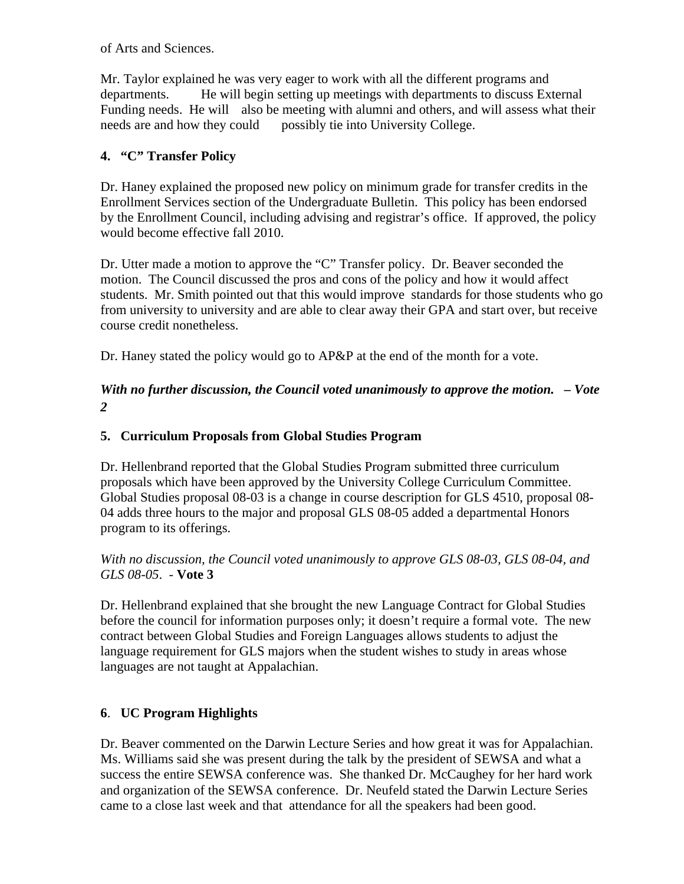of Arts and Sciences.

Mr. Taylor explained he was very eager to work with all the different programs and departments. He will begin setting up meetings with departments to discuss External Funding needs. He will also be meeting with alumni and others, and will assess what their needs are and how they could possibly tie into University College.

### **4. "C" Transfer Policy**

Dr. Haney explained the proposed new policy on minimum grade for transfer credits in the Enrollment Services section of the Undergraduate Bulletin. This policy has been endorsed by the Enrollment Council, including advising and registrar's office. If approved, the policy would become effective fall 2010.

Dr. Utter made a motion to approve the "C" Transfer policy. Dr. Beaver seconded the motion. The Council discussed the pros and cons of the policy and how it would affect students. Mr. Smith pointed out that this would improve standards for those students who go from university to university and are able to clear away their GPA and start over, but receive course credit nonetheless.

Dr. Haney stated the policy would go to AP&P at the end of the month for a vote.

## *With no further discussion, the Council voted unanimously to approve the motion. – Vote 2*

### **5. Curriculum Proposals from Global Studies Program**

Dr. Hellenbrand reported that the Global Studies Program submitted three curriculum proposals which have been approved by the University College Curriculum Committee. Global Studies proposal 08-03 is a change in course description for GLS 4510, proposal 08- 04 adds three hours to the major and proposal GLS 08-05 added a departmental Honors program to its offerings.

### *With no discussion, the Council voted unanimously to approve GLS 08-03, GLS 08-04, and GLS 08-05*. - **Vote 3**

Dr. Hellenbrand explained that she brought the new Language Contract for Global Studies before the council for information purposes only; it doesn't require a formal vote. The new contract between Global Studies and Foreign Languages allows students to adjust the language requirement for GLS majors when the student wishes to study in areas whose languages are not taught at Appalachian.

### **6**. **UC Program Highlights**

Dr. Beaver commented on the Darwin Lecture Series and how great it was for Appalachian. Ms. Williams said she was present during the talk by the president of SEWSA and what a success the entire SEWSA conference was. She thanked Dr. McCaughey for her hard work and organization of the SEWSA conference. Dr. Neufeld stated the Darwin Lecture Series came to a close last week and that attendance for all the speakers had been good.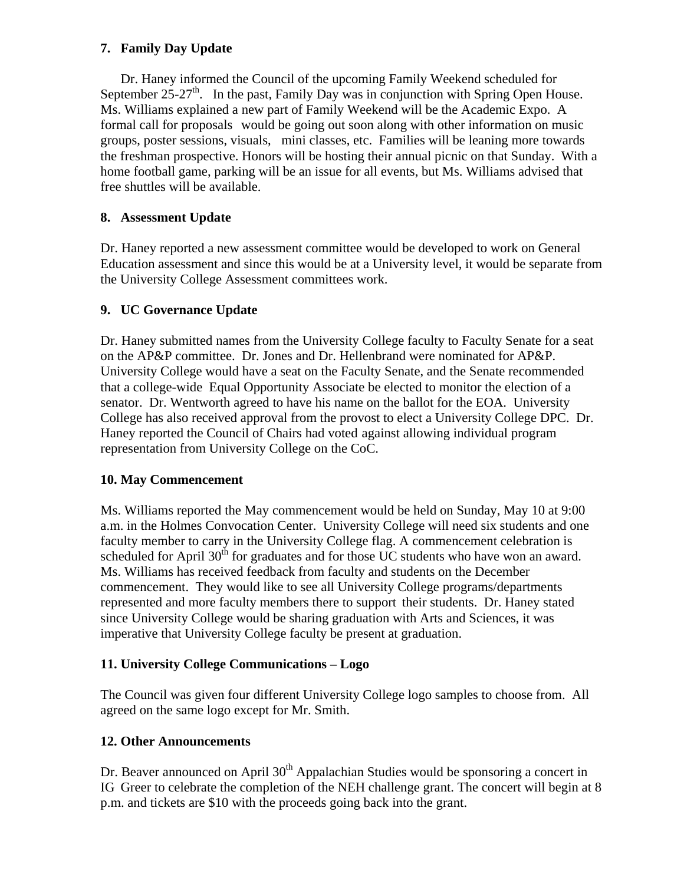### **7. Family Day Update**

 Dr. Haney informed the Council of the upcoming Family Weekend scheduled for September 25-27<sup>th</sup>. In the past, Family Day was in conjunction with Spring Open House. Ms. Williams explained a new part of Family Weekend will be the Academic Expo. A formal call for proposals would be going out soon along with other information on music groups, poster sessions, visuals, mini classes, etc. Families will be leaning more towards the freshman prospective. Honors will be hosting their annual picnic on that Sunday. With a home football game, parking will be an issue for all events, but Ms. Williams advised that free shuttles will be available.

### **8. Assessment Update**

Dr. Haney reported a new assessment committee would be developed to work on General Education assessment and since this would be at a University level, it would be separate from the University College Assessment committees work.

### **9. UC Governance Update**

Dr. Haney submitted names from the University College faculty to Faculty Senate for a seat on the AP&P committee. Dr. Jones and Dr. Hellenbrand were nominated for AP&P. University College would have a seat on the Faculty Senate, and the Senate recommended that a college-wide Equal Opportunity Associate be elected to monitor the election of a senator. Dr. Wentworth agreed to have his name on the ballot for the EOA. University College has also received approval from the provost to elect a University College DPC. Dr. Haney reported the Council of Chairs had voted against allowing individual program representation from University College on the CoC.

### **10. May Commencement**

Ms. Williams reported the May commencement would be held on Sunday, May 10 at 9:00 a.m. in the Holmes Convocation Center. University College will need six students and one faculty member to carry in the University College flag. A commencement celebration is scheduled for April  $30<sup>th</sup>$  for graduates and for those UC students who have won an award. Ms. Williams has received feedback from faculty and students on the December commencement. They would like to see all University College programs/departments represented and more faculty members there to support their students. Dr. Haney stated since University College would be sharing graduation with Arts and Sciences, it was imperative that University College faculty be present at graduation.

### **11. University College Communications – Logo**

The Council was given four different University College logo samples to choose from. All agreed on the same logo except for Mr. Smith.

### **12. Other Announcements**

Dr. Beaver announced on April  $30<sup>th</sup>$  Appalachian Studies would be sponsoring a concert in IG Greer to celebrate the completion of the NEH challenge grant. The concert will begin at 8 p.m. and tickets are \$10 with the proceeds going back into the grant.